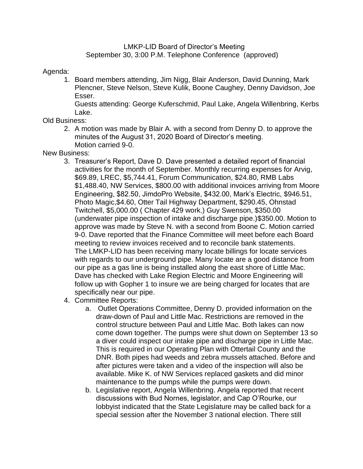LMKP-LID Board of Director's Meeting September 30, 3:00 P.M. Telephone Conference (approved)

Agenda:

1. Board members attending, Jim Nigg, Blair Anderson, David Dunning, Mark Plencner, Steve Nelson, Steve Kulik, Boone Caughey, Denny Davidson, Joe Esser.

Guests attending: George Kuferschmid, Paul Lake, Angela Willenbring, Kerbs Lake.

Old Business:

2. A motion was made by Blair A. with a second from Denny D. to approve the minutes of the August 31, 2020 Board of Director's meeting. Motion carried 9-0.

New Business:

- 3. Treasurer's Report, Dave D. Dave presented a detailed report of financial activities for the month of September. Monthly recurring expenses for Arvig, \$69.89, LREC, \$5,744.41, Forum Communication, \$24.80, RMB Labs \$1,488.40, NW Services, \$800.00 with additional invoices arriving from Moore Engineering, \$82.50, JimdoPro Website, \$432.00, Mark's Electric, \$946.51, Photo Magic,\$4.60, Otter Tail Highway Department, \$290.45, Ohnstad Twitchell, \$5,000.00 ( Chapter 429 work.) Guy Swenson, \$350.00 (underwater pipe inspection of intake and discharge pipe.)\$350.00. Motion to approve was made by Steve N. with a second from Boone C. Motion carried 9-0. Dave reported that the Finance Committee will meet before each Board meeting to review invoices received and to reconcile bank statements. The LMKP-LID has been receiving many locate billings for locate services with regards to our underground pipe. Many locate are a good distance from our pipe as a gas line is being installed along the east shore of Little Mac. Dave has checked with Lake Region Electric and Moore Engineering will follow up with Gopher 1 to insure we are being charged for locates that are specifically near our pipe.
- 4. Committee Reports:
	- a. Outlet Operations Committee, Denny D. provided information on the draw-down of Paul and Little Mac. Restrictions are removed in the control structure between Paul and Little Mac. Both lakes can now come down together. The pumps were shut down on September 13 so a diver could inspect our intake pipe and discharge pipe in Little Mac. This is required in our Operating Plan with Ottertail County and the DNR. Both pipes had weeds and zebra mussels attached. Before and after pictures were taken and a video of the inspection will also be available. Mike K. of NW Services replaced gaskets and did minor maintenance to the pumps while the pumps were down.
	- b. Legislative report, Angela Willenbring. Angela reported that recent discussions with Bud Nornes, legislator, and Cap O'Rourke, our lobbyist indicated that the State Legislature may be called back for a special session after the November 3 national election. There still